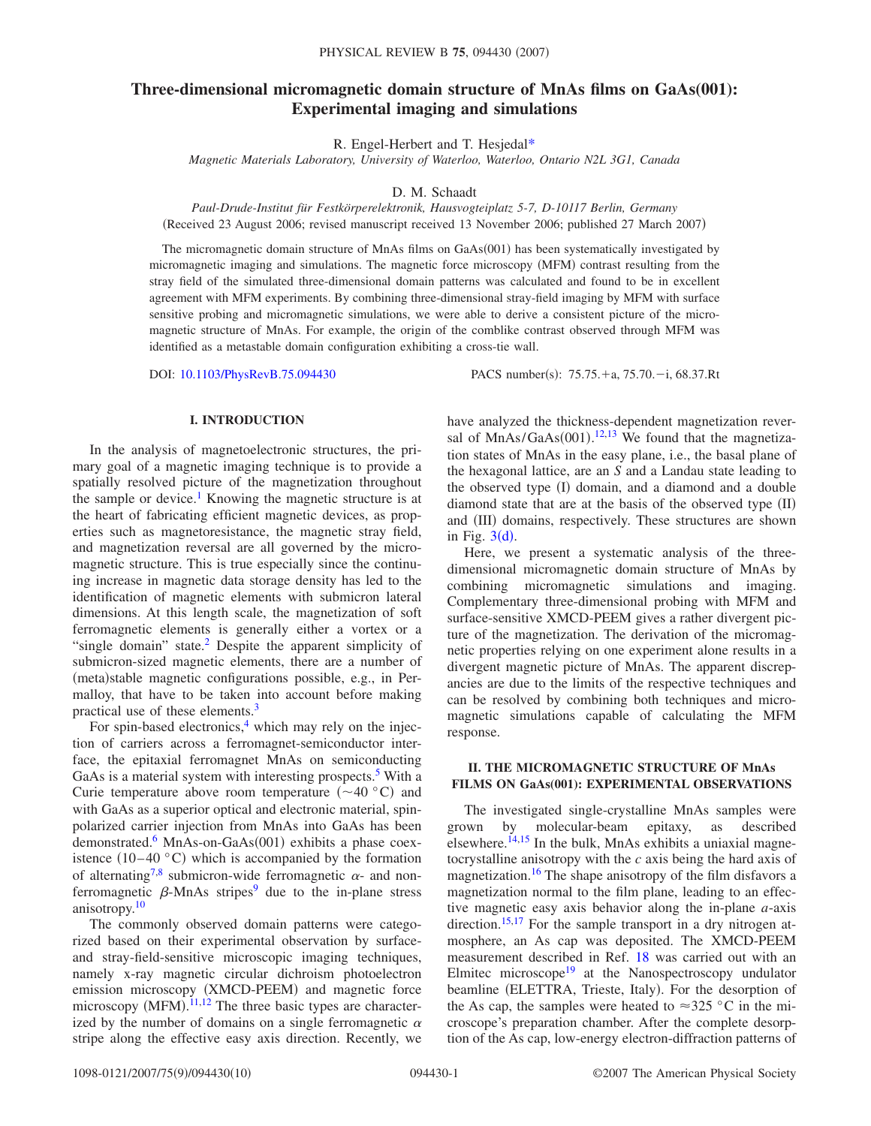# **Three-dimensional micromagnetic domain structure of MnAs films on GaAs(001): Experimental imaging and simulations**

R. Engel-Herbert and T. Hesjeda[l\\*](#page-8-0)

*Magnetic Materials Laboratory, University of Waterloo, Waterloo, Ontario N2L 3G1, Canada*

D. M. Schaadt

*Paul-Drude-Institut für Festkörperelektronik, Hausvogteiplatz 5-7, D-10117 Berlin, Germany* (Received 23 August 2006; revised manuscript received 13 November 2006; published 27 March 2007)

The micromagnetic domain structure of MnAs films on GaAs(001) has been systematically investigated by micromagnetic imaging and simulations. The magnetic force microscopy (MFM) contrast resulting from the stray field of the simulated three-dimensional domain patterns was calculated and found to be in excellent agreement with MFM experiments. By combining three-dimensional stray-field imaging by MFM with surface sensitive probing and micromagnetic simulations, we were able to derive a consistent picture of the micromagnetic structure of MnAs. For example, the origin of the comblike contrast observed through MFM was identified as a metastable domain configuration exhibiting a cross-tie wall.

DOI: [10.1103/PhysRevB.75.094430](http://dx.doi.org/10.1103/PhysRevB.75.094430)

 $: 75.75.+a, 75.70- i, 68.37.Rt$ 

### **I. INTRODUCTION**

In the analysis of magnetoelectronic structures, the primary goal of a magnetic imaging technique is to provide a spatially resolved picture of the magnetization throughout the sample or device.<sup>1</sup> Knowing the magnetic structure is at the heart of fabricating efficient magnetic devices, as properties such as magnetoresistance, the magnetic stray field, and magnetization reversal are all governed by the micromagnetic structure. This is true especially since the continuing increase in magnetic data storage density has led to the identification of magnetic elements with submicron lateral dimensions. At this length scale, the magnetization of soft ferromagnetic elements is generally either a vortex or a "single domain" state.<sup>2</sup> Despite the apparent simplicity of submicron-sized magnetic elements, there are a number of (meta)stable magnetic configurations possible, e.g., in Permalloy, that have to be taken into account before making practical use of these elements.<sup>3</sup>

For spin-based electronics, $4$  which may rely on the injection of carriers across a ferromagnet-semiconductor interface, the epitaxial ferromagnet MnAs on semiconducting GaAs is a material system with interesting prospects.<sup>5</sup> With a Curie temperature above room temperature  $(\sim 40 \degree C)$  and with GaAs as a superior optical and electronic material, spinpolarized carrier injection from MnAs into GaAs has been demonstrated.<sup>6</sup> MnAs-on-GaAs(001) exhibits a phase coexistence  $(10-40 \degree C)$  which is accompanied by the formation of alternating<sup>7[,8](#page-9-5)</sup> submicron-wide ferromagnetic  $\alpha$ - and nonferromagnetic  $\beta$ -MnAs stripes<sup>9</sup> due to the in-plane stress anisotropy[.10](#page-9-7)

The commonly observed domain patterns were categorized based on their experimental observation by surfaceand stray-field-sensitive microscopic imaging techniques, namely x-ray magnetic circular dichroism photoelectron emission microscopy (XMCD-PEEM) and magnetic force microscopy (MFM).<sup>[11,](#page-9-8)[12](#page-9-9)</sup> The three basic types are characterized by the number of domains on a single ferromagnetic  $\alpha$ stripe along the effective easy axis direction. Recently, we have analyzed the thickness-dependent magnetization reversal of  $MnAs/GaAs(001).<sup>12,13</sup>$  $MnAs/GaAs(001).<sup>12,13</sup>$  $MnAs/GaAs(001).<sup>12,13</sup>$  $MnAs/GaAs(001).<sup>12,13</sup>$  We found that the magnetization states of MnAs in the easy plane, i.e., the basal plane of the hexagonal lattice, are an *S* and a Landau state leading to the observed type (I) domain, and a diamond and a double diamond state that are at the basis of the observed type (II) and (III) domains, respectively. These structures are shown in Fig.  $3(d)$  $3(d)$ .

Here, we present a systematic analysis of the threedimensional micromagnetic domain structure of MnAs by combining micromagnetic simulations and imaging. Complementary three-dimensional probing with MFM and surface-sensitive XMCD-PEEM gives a rather divergent picture of the magnetization. The derivation of the micromagnetic properties relying on one experiment alone results in a divergent magnetic picture of MnAs. The apparent discrepancies are due to the limits of the respective techniques and can be resolved by combining both techniques and micromagnetic simulations capable of calculating the MFM response.

### **II. THE MICROMAGNETIC STRUCTURE OF MnAs FILMS ON GaAs(001): EXPERIMENTAL OBSERVATIONS**

The investigated single-crystalline MnAs samples were grown by molecular-beam epitaxy, as described elsewhere.<sup>14,[15](#page-9-12)</sup> In the bulk, MnAs exhibits a uniaxial magnetocrystalline anisotropy with the *c* axis being the hard axis of magnetization.<sup>16</sup> The shape anisotropy of the film disfavors a magnetization normal to the film plane, leading to an effective magnetic easy axis behavior along the in-plane *a*-axis direction.<sup>15[,17](#page-9-14)</sup> For the sample transport in a dry nitrogen atmosphere, an As cap was deposited. The XMCD-PEEM measurement described in Ref. [18](#page-9-15) was carried out with an Elmitec microscope<sup>19</sup> at the Nanospectroscopy undulator beamline (ELETTRA, Trieste, Italy). For the desorption of the As cap, the samples were heated to  $\approx 325$  °C in the microscope's preparation chamber. After the complete desorption of the As cap, low-energy electron-diffraction patterns of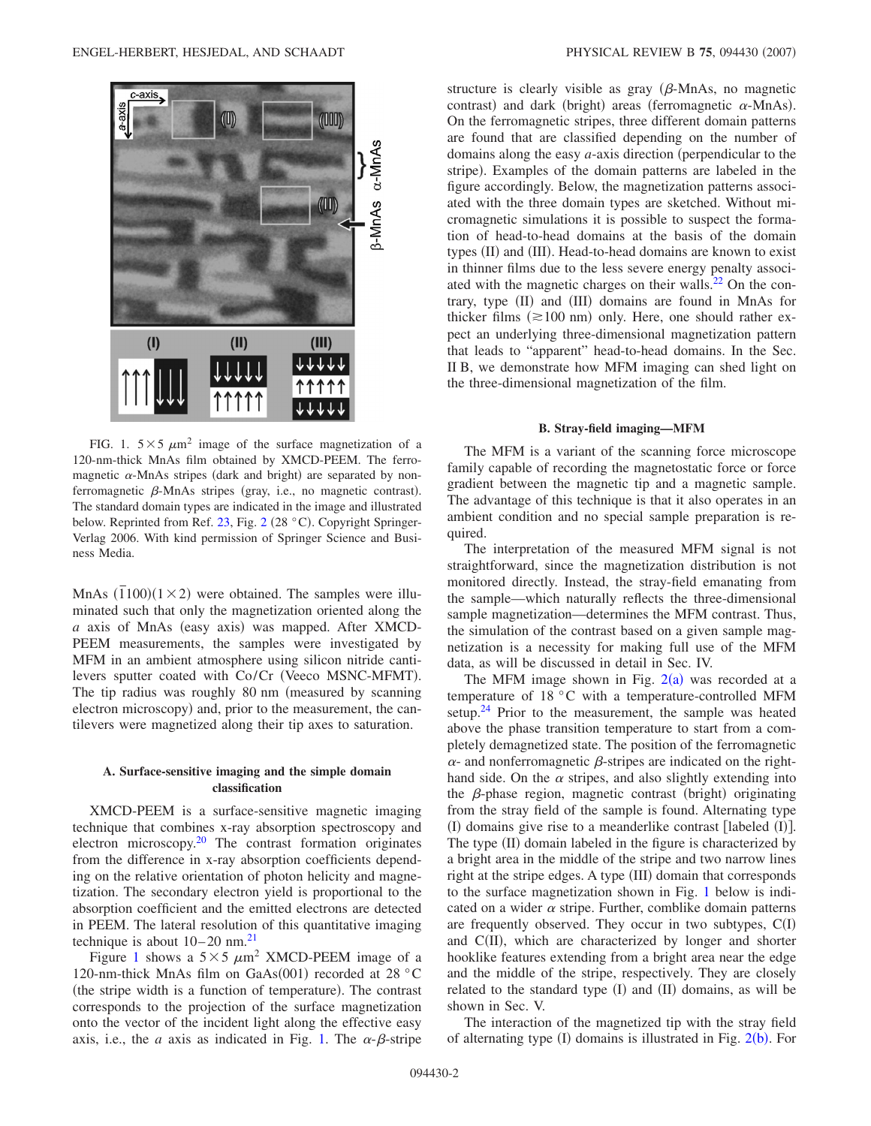<span id="page-1-0"></span>

FIG. 1.  $5 \times 5 \mu m^2$  image of the surface magnetization of a 120-nm-thick MnAs film obtained by XMCD-PEEM. The ferromagnetic  $\alpha$ -MnAs stripes (dark and bright) are separated by nonferromagnetic  $\beta$ -MnAs stripes (gray, i.e., no magnetic contrast). The standard domain types are indicated in the image and illustrated below. Reprinted from Ref. [23,](#page-9-21) Fig. [2](#page-2-1) (28 °C). Copyright Springer-Verlag 2006. With kind permission of Springer Science and Business Media.

MnAs  $(\overline{1}100)(1\times2)$  were obtained. The samples were illuminated such that only the magnetization oriented along the a axis of MnAs (easy axis) was mapped. After XMCD-PEEM measurements, the samples were investigated by MFM in an ambient atmosphere using silicon nitride cantilevers sputter coated with Co/Cr (Veeco MSNC-MFMT). The tip radius was roughly  $80 \text{ nm}$  (measured by scanning electron microscopy) and, prior to the measurement, the cantilevers were magnetized along their tip axes to saturation.

# **A. Surface-sensitive imaging and the simple domain classification**

XMCD-PEEM is a surface-sensitive magnetic imaging technique that combines x-ray absorption spectroscopy and electron microscopy.<sup>20</sup> The contrast formation originates from the difference in x-ray absorption coefficients depending on the relative orientation of photon helicity and magnetization. The secondary electron yield is proportional to the absorption coefficient and the emitted electrons are detected in PEEM. The lateral resolution of this quantitative imaging technique is about  $10-20$  nm.<sup>21</sup>

Figure [1](#page-1-0) shows a  $5 \times 5 \mu m^2$  XMCD-PEEM image of a 120-nm-thick MnAs film on GaAs(001) recorded at 28 °C (the stripe width is a function of temperature). The contrast corresponds to the projection of the surface magnetization onto the vector of the incident light along the effective easy axis, i.e., the *a* axis as indicated in Fig. [1.](#page-1-0) The  $\alpha$ - $\beta$ -stripe structure is clearly visible as gray  $(\beta$ -MnAs, no magnetic contrast) and dark (bright) areas (ferromagnetic  $\alpha$ -MnAs). On the ferromagnetic stripes, three different domain patterns are found that are classified depending on the number of domains along the easy *a*-axis direction (perpendicular to the stripe). Examples of the domain patterns are labeled in the figure accordingly. Below, the magnetization patterns associated with the three domain types are sketched. Without micromagnetic simulations it is possible to suspect the formation of head-to-head domains at the basis of the domain types (II) and (III). Head-to-head domains are known to exist in thinner films due to the less severe energy penalty associated with the magnetic charges on their walls.<sup>22</sup> On the contrary, type (II) and (III) domains are found in MnAs for thicker films  $(\geq 100 \text{ nm})$  only. Here, one should rather expect an underlying three-dimensional magnetization pattern that leads to "apparent" head-to-head domains. In the Sec. II B, we demonstrate how MFM imaging can shed light on the three-dimensional magnetization of the film.

#### **B. Stray-field imaging—MFM**

The MFM is a variant of the scanning force microscope family capable of recording the magnetostatic force or force gradient between the magnetic tip and a magnetic sample. The advantage of this technique is that it also operates in an ambient condition and no special sample preparation is required.

The interpretation of the measured MFM signal is not straightforward, since the magnetization distribution is not monitored directly. Instead, the stray-field emanating from the sample—which naturally reflects the three-dimensional sample magnetization—determines the MFM contrast. Thus, the simulation of the contrast based on a given sample magnetization is a necessity for making full use of the MFM data, as will be discussed in detail in Sec. IV.

The MFM image shown in Fig.  $2(a)$  $2(a)$  was recorded at a temperature of 18 °C with a temperature-controlled MFM setup.<sup>24</sup> Prior to the measurement, the sample was heated above the phase transition temperature to start from a completely demagnetized state. The position of the ferromagnetic  $\alpha$ - and nonferromagnetic  $\beta$ -stripes are indicated on the righthand side. On the  $\alpha$  stripes, and also slightly extending into the  $\beta$ -phase region, magnetic contrast (bright) originating from the stray field of the sample is found. Alternating type (I) domains give rise to a meanderlike contrast [labeled (I)]. The type (II) domain labeled in the figure is characterized by a bright area in the middle of the stripe and two narrow lines right at the stripe edges. A type (III) domain that corresponds to the surface magnetization shown in Fig. [1](#page-1-0) below is indicated on a wider  $\alpha$  stripe. Further, comblike domain patterns are frequently observed. They occur in two subtypes,  $C(I)$ and C(II), which are characterized by longer and shorter hooklike features extending from a bright area near the edge and the middle of the stripe, respectively. They are closely related to the standard type (I) and (II) domains, as will be shown in Sec. V.

The interaction of the magnetized tip with the stray field of alternating type (I) domains is illustrated in Fig. [2](#page-2-1)(b). For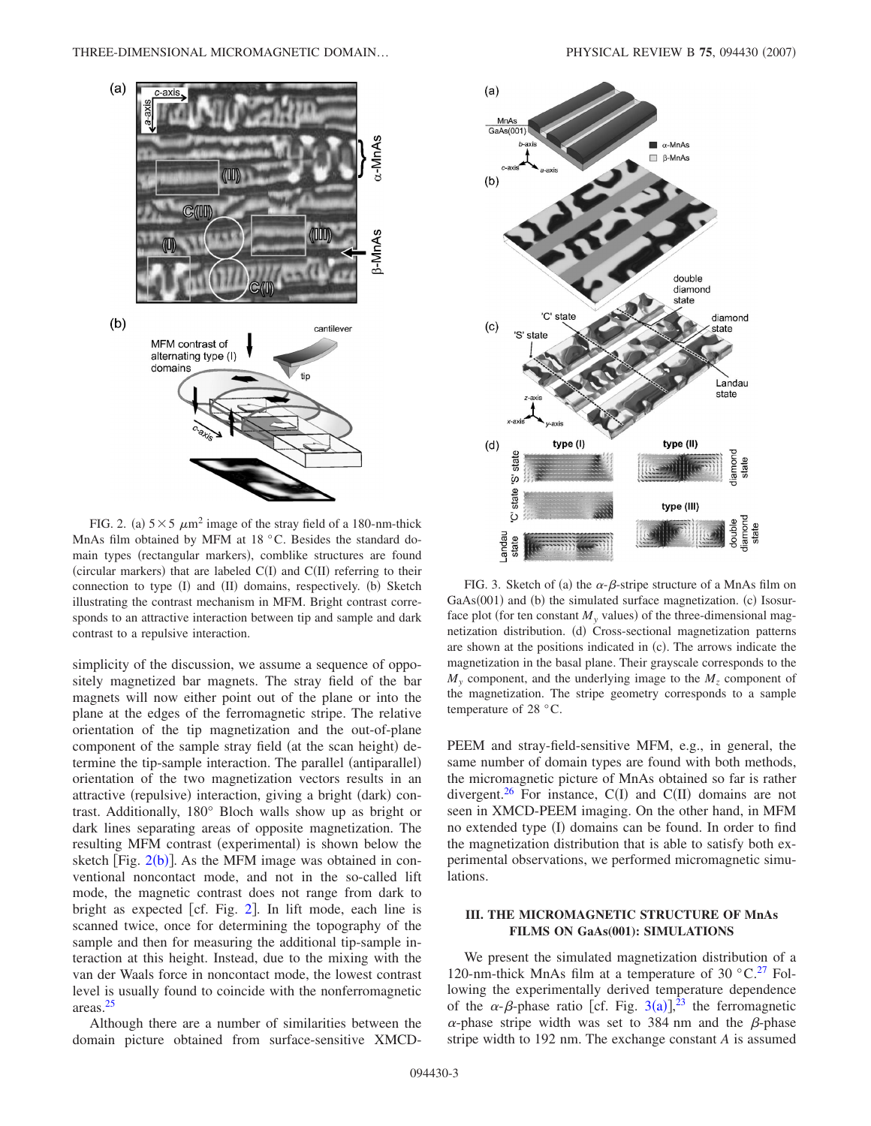<span id="page-2-1"></span>THREE-DIMENSIONAL MICROMAGNETIC DOMAIN...



FIG. 2. (a)  $5 \times 5 \ \mu \text{m}^2$  image of the stray field of a 180-nm-thick MnAs film obtained by MFM at 18 °C. Besides the standard domain types (rectangular markers), comblike structures are found (circular markers) that are labeled C(I) and C(II) referring to their connection to type (I) and (II) domains, respectively. (b) Sketch illustrating the contrast mechanism in MFM. Bright contrast corresponds to an attractive interaction between tip and sample and dark contrast to a repulsive interaction.

simplicity of the discussion, we assume a sequence of oppositely magnetized bar magnets. The stray field of the bar magnets will now either point out of the plane or into the plane at the edges of the ferromagnetic stripe. The relative orientation of the tip magnetization and the out-of-plane component of the sample stray field (at the scan height) determine the tip-sample interaction. The parallel (antiparallel) orientation of the two magnetization vectors results in an attractive (repulsive) interaction, giving a bright (dark) contrast. Additionally, 180° Bloch walls show up as bright or dark lines separating areas of opposite magnetization. The resulting MFM contrast (experimental) is shown below the sketch [Fig.  $2(b)$  $2(b)$ ]. As the MFM image was obtained in conventional noncontact mode, and not in the so-called lift mode, the magnetic contrast does not range from dark to bright as expected [cf. Fig.  $2$ ]. In lift mode, each line is scanned twice, once for determining the topography of the sample and then for measuring the additional tip-sample interaction at this height. Instead, due to the mixing with the van der Waals force in noncontact mode, the lowest contrast level is usually found to coincide with the nonferromagnetic areas[.25](#page-9-22)

Although there are a number of similarities between the domain picture obtained from surface-sensitive XMCD-

<span id="page-2-0"></span>

FIG. 3. Sketch of (a) the  $\alpha$ - $\beta$ -stripe structure of a MnAs film on GaAs(001) and (b) the simulated surface magnetization. (c) Isosurface plot (for ten constant  $M<sub>y</sub>$  values) of the three-dimensional magnetization distribution. (d) Cross-sectional magnetization patterns are shown at the positions indicated in (c). The arrows indicate the magnetization in the basal plane. Their grayscale corresponds to the  $M<sub>v</sub>$  component, and the underlying image to the  $M<sub>z</sub>$  component of the magnetization. The stripe geometry corresponds to a sample temperature of 28 °C.

PEEM and stray-field-sensitive MFM, e.g., in general, the same number of domain types are found with both methods, the micromagnetic picture of MnAs obtained so far is rather divergent.<sup>26</sup> For instance,  $C(I)$  and  $C(II)$  domains are not seen in XMCD-PEEM imaging. On the other hand, in MFM no extended type (I) domains can be found. In order to find the magnetization distribution that is able to satisfy both experimental observations, we performed micromagnetic simulations.

### **III. THE MICROMAGNETIC STRUCTURE OF MnAs FILMS ON GaAs(001): SIMULATIONS**

We present the simulated magnetization distribution of a 120-nm-thick MnAs film at a temperature of 30  $^{\circ}$ C.<sup>27</sup> Following the experimentally derived temperature dependence of the  $\alpha$ - $\beta$ -phase ratio [cf. Fig. [3](#page-2-0)(a)],<sup>[23](#page-9-21)</sup> the ferromagnetic  $\alpha$ -phase stripe width was set to 384 nm and the  $\beta$ -phase stripe width to 192 nm. The exchange constant *A* is assumed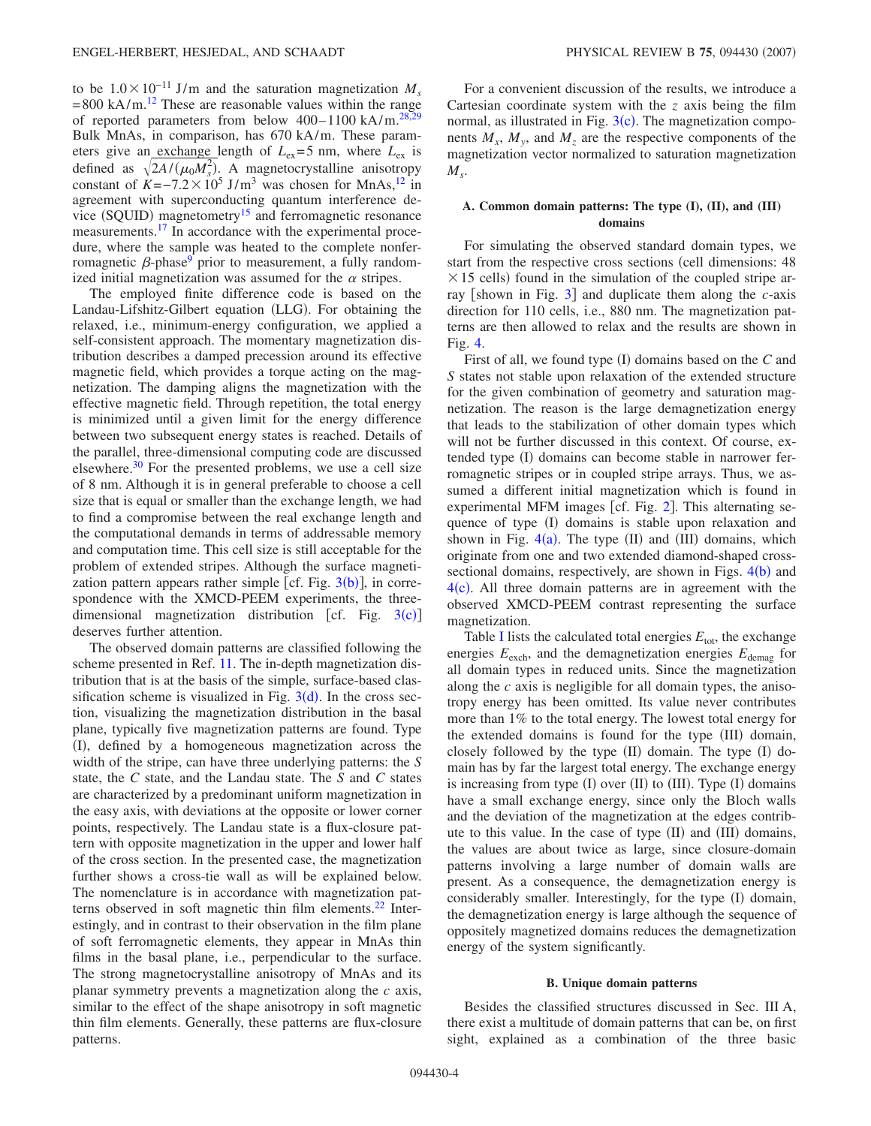to be  $1.0\times10^{-11}$  J/m and the saturation magnetization *M<sub>s</sub>*  $= 800 \text{ kA/m}$ .<sup>[12](#page-9-9)</sup> These are reasonable values within the range of reported parameters from below  $400-1100 \text{ kA/m}$ .<sup>28,[29](#page-9-26)</sup> Bulk MnAs, in comparison, has 670 kA/m. These parameters give an exchange length of  $L_{ex}= 5$  nm, where  $L_{ex}$  is defined as  $\sqrt{2A/(\mu_0 M_s^2)}$ . A magnetocrystalline anisotropy constant of  $K=-7.2\times10^5$  J/m<sup>3</sup> was chosen for MnAs,<sup>12</sup> in agreement with superconducting quantum interference device (SQUID) magnetometry<sup>15</sup> and ferromagnetic resonance measurements[.17](#page-9-14) In accordance with the experimental procedure, where the sample was heated to the complete nonferromagnetic  $\beta$ -phase<sup>9</sup> prior to measurement, a fully randomized initial magnetization was assumed for the  $\alpha$  stripes.

The employed finite difference code is based on the Landau-Lifshitz-Gilbert equation (LLG). For obtaining the relaxed, i.e., minimum-energy configuration, we applied a self-consistent approach. The momentary magnetization distribution describes a damped precession around its effective magnetic field, which provides a torque acting on the magnetization. The damping aligns the magnetization with the effective magnetic field. Through repetition, the total energy is minimized until a given limit for the energy difference between two subsequent energy states is reached. Details of the parallel, three-dimensional computing code are discussed elsewhere. $30$  For the presented problems, we use a cell size of 8 nm. Although it is in general preferable to choose a cell size that is equal or smaller than the exchange length, we had to find a compromise between the real exchange length and the computational demands in terms of addressable memory and computation time. This cell size is still acceptable for the problem of extended stripes. Although the surface magnetization pattern appears rather simple [cf. Fig.  $3(b)$  $3(b)$ ], in correspondence with the XMCD-PEEM experiments, the threedimensional magnetization distribution [cf. Fig.  $3(c)$  $3(c)$ ] deserves further attention.

The observed domain patterns are classified following the scheme presented in Ref. [11.](#page-9-8) The in-depth magnetization distribution that is at the basis of the simple, surface-based classification scheme is visualized in Fig.  $3(d)$  $3(d)$ . In the cross section, visualizing the magnetization distribution in the basal plane, typically five magnetization patterns are found. Type (I), defined by a homogeneous magnetization across the width of the stripe, can have three underlying patterns: the *S* state, the *C* state, and the Landau state. The *S* and *C* states are characterized by a predominant uniform magnetization in the easy axis, with deviations at the opposite or lower corner points, respectively. The Landau state is a flux-closure pattern with opposite magnetization in the upper and lower half of the cross section. In the presented case, the magnetization further shows a cross-tie wall as will be explained below. The nomenclature is in accordance with magnetization patterns observed in soft magnetic thin film elements.<sup>22</sup> Interestingly, and in contrast to their observation in the film plane of soft ferromagnetic elements, they appear in MnAs thin films in the basal plane, i.e., perpendicular to the surface. The strong magnetocrystalline anisotropy of MnAs and its planar symmetry prevents a magnetization along the *c* axis, similar to the effect of the shape anisotropy in soft magnetic thin film elements. Generally, these patterns are flux-closure patterns.

For a convenient discussion of the results, we introduce a Cartesian coordinate system with the *z* axis being the film normal, as illustrated in Fig.  $3(c)$  $3(c)$ . The magnetization components  $M_x$ ,  $M_y$ , and  $M_z$  are the respective components of the magnetization vector normalized to saturation magnetization  $M<sub>s</sub>$ .

# **A. Common domain patterns: The type (I), (II), and (III) domains**

For simulating the observed standard domain types, we start from the respective cross sections (cell dimensions: 48)  $\times$  15 cells) found in the simulation of the coupled stripe ar-ray [shown in Fig. [3](#page-2-0)] and duplicate them along the  $c$ -axis direction for 110 cells, i.e., 880 nm. The magnetization patterns are then allowed to relax and the results are shown in Fig. [4.](#page-4-0)

First of all, we found type (I) domains based on the *C* and *S* states not stable upon relaxation of the extended structure for the given combination of geometry and saturation magnetization. The reason is the large demagnetization energy that leads to the stabilization of other domain types which will not be further discussed in this context. Of course, extended type (I) domains can become stable in narrower ferromagnetic stripes or in coupled stripe arrays. Thus, we assumed a different initial magnetization which is found in experimental MFM images [cf. Fig.  $2$ ]. This alternating sequence of type (I) domains is stable upon relaxation and shown in Fig.  $4(a)$  $4(a)$ . The type (II) and (III) domains, which originate from one and two extended diamond-shaped cross-sectional domains, respectively, are shown in Figs. [4](#page-4-0)(b) and  $4(c)$  $4(c)$ . All three domain patterns are in agreement with the observed XMCD-PEEM contrast representing the surface magnetization.

Table [I](#page-4-1) lists the calculated total energies  $E_{\text{tot}}$ , the exchange energies  $E_{\text{exch}}$ , and the demagnetization energies  $E_{\text{demag}}$  for all domain types in reduced units. Since the magnetization along the *c* axis is negligible for all domain types, the anisotropy energy has been omitted. Its value never contributes more than 1% to the total energy. The lowest total energy for the extended domains is found for the type (III) domain, closely followed by the type (II) domain. The type (I) domain has by far the largest total energy. The exchange energy is increasing from type (I) over (II) to (III). Type (I) domains have a small exchange energy, since only the Bloch walls and the deviation of the magnetization at the edges contribute to this value. In the case of type (II) and (III) domains, the values are about twice as large, since closure-domain patterns involving a large number of domain walls are present. As a consequence, the demagnetization energy is considerably smaller. Interestingly, for the type (I) domain, the demagnetization energy is large although the sequence of oppositely magnetized domains reduces the demagnetization energy of the system significantly.

#### **B. Unique domain patterns**

Besides the classified structures discussed in Sec. III A, there exist a multitude of domain patterns that can be, on first sight, explained as a combination of the three basic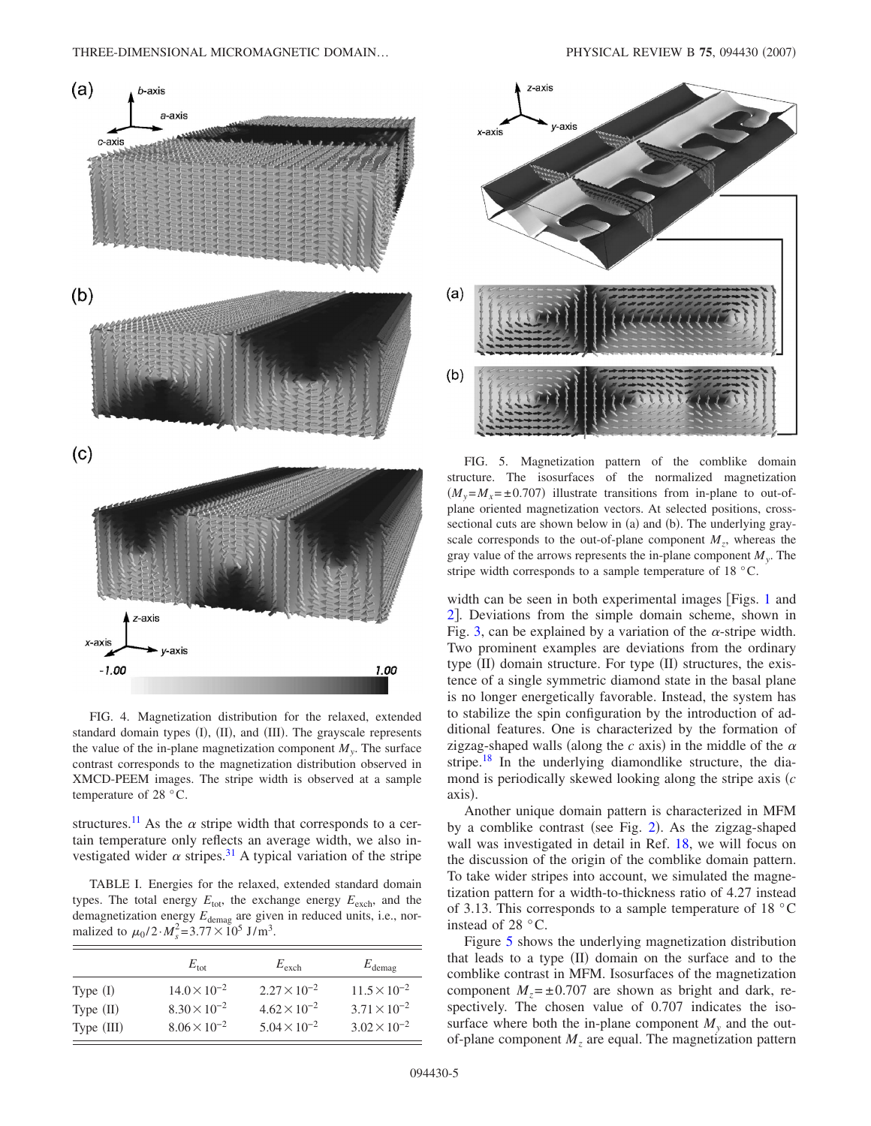<span id="page-4-0"></span>

FIG. 4. Magnetization distribution for the relaxed, extended standard domain types (I), (II), and (III). The grayscale represents the value of the in-plane magnetization component  $M_{y}$ . The surface contrast corresponds to the magnetization distribution observed in XMCD-PEEM images. The stripe width is observed at a sample temperature of 28 °C.

structures.<sup>11</sup> As the  $\alpha$  stripe width that corresponds to a certain temperature only reflects an average width, we also investigated wider  $\alpha$  stripes.<sup>31</sup> A typical variation of the stripe

<span id="page-4-1"></span>TABLE I. Energies for the relaxed, extended standard domain types. The total energy  $E_{\text{tot}}$ , the exchange energy  $E_{\text{exch}}$ , and the demagnetization energy  $E_{\text{demag}}$  are given in reduced units, i.e., normalized to  $\mu_0 / 2 \cdot M_s^2 = 3.77 \times 10^5 \text{ J/m}^3$ .

|             | $E_{\rm tot}$         | $E_{\text{exch}}$     | $E_{\text{demag}}$    |
|-------------|-----------------------|-----------------------|-----------------------|
| Type $(I)$  | $14.0 \times 10^{-2}$ | $2.27 \times 10^{-2}$ | $11.5 \times 10^{-2}$ |
| Type $(II)$ | $8.30 \times 10^{-2}$ | $4.62 \times 10^{-2}$ | $3.71 \times 10^{-2}$ |
| Type (III)  | $8.06 \times 10^{-2}$ | $5.04 \times 10^{-2}$ | $3.02 \times 10^{-2}$ |

<span id="page-4-2"></span>

FIG. 5. Magnetization pattern of the comblike domain structure. The isosurfaces of the normalized magnetization  $(M_y = M_x = \pm 0.707)$  illustrate transitions from in-plane to out-ofplane oriented magnetization vectors. At selected positions, crosssectional cuts are shown below in (a) and (b). The underlying grayscale corresponds to the out-of-plane component  $M_z$ , whereas the gray value of the arrows represents the in-plane component  $M_{v}$ . The stripe width corresponds to a sample temperature of 18 °C.

width can be seen in both experimental images [Figs. [1](#page-1-0) and [2](#page-2-1)]. Deviations from the simple domain scheme, shown in Fig. [3,](#page-2-0) can be explained by a variation of the  $\alpha$ -stripe width. Two prominent examples are deviations from the ordinary type (II) domain structure. For type (II) structures, the existence of a single symmetric diamond state in the basal plane is no longer energetically favorable. Instead, the system has to stabilize the spin configuration by the introduction of additional features. One is characterized by the formation of zigzag-shaped walls (along the  $c$  axis) in the middle of the  $\alpha$ stripe.<sup>18</sup> In the underlying diamondlike structure, the diamond is periodically skewed looking along the stripe axis *c* axis).

Another unique domain pattern is characterized in MFM by a comblike contrast (see Fig. [2](#page-2-1)). As the zigzag-shaped wall was investigated in detail in Ref. [18,](#page-9-15) we will focus on the discussion of the origin of the comblike domain pattern. To take wider stripes into account, we simulated the magnetization pattern for a width-to-thickness ratio of 4.27 instead of 3.13. This corresponds to a sample temperature of 18 °C instead of 28 °C.

Figure [5](#page-4-2) shows the underlying magnetization distribution that leads to a type (II) domain on the surface and to the comblike contrast in MFM. Isosurfaces of the magnetization component  $M_z = \pm 0.707$  are shown as bright and dark, respectively. The chosen value of 0.707 indicates the isosurface where both the in-plane component  $M_{v}$  and the outof-plane component  $M<sub>z</sub>$  are equal. The magnetization pattern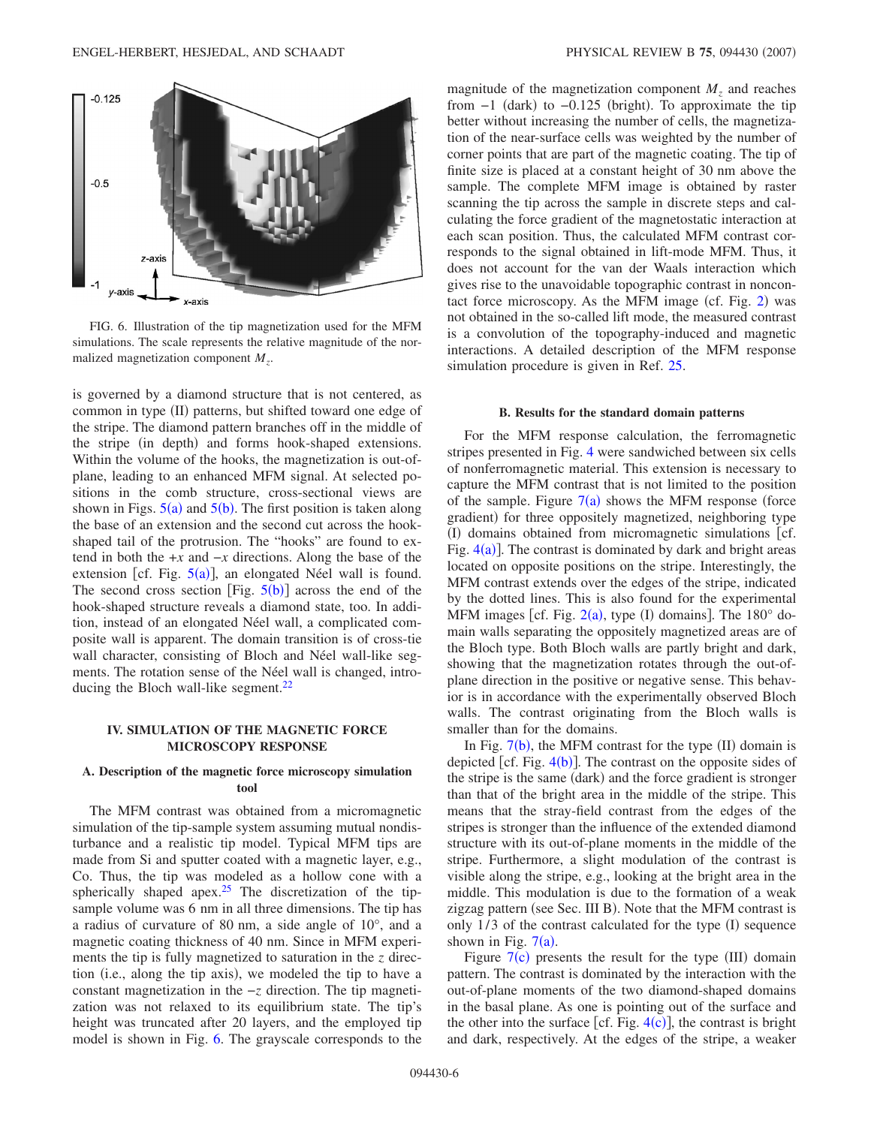<span id="page-5-0"></span>

FIG. 6. Illustration of the tip magnetization used for the MFM simulations. The scale represents the relative magnitude of the normalized magnetization component *Mz*.

is governed by a diamond structure that is not centered, as common in type (II) patterns, but shifted toward one edge of the stripe. The diamond pattern branches off in the middle of the stripe (in depth) and forms hook-shaped extensions. Within the volume of the hooks, the magnetization is out-ofplane, leading to an enhanced MFM signal. At selected positions in the comb structure, cross-sectional views are shown in Figs.  $5(a)$  $5(a)$  and  $5(b)$ . The first position is taken along the base of an extension and the second cut across the hookshaped tail of the protrusion. The "hooks" are found to extend in both the +*x* and −*x* directions. Along the base of the extension [cf. Fig.  $5(a)$  $5(a)$ ], an elongated Néel wall is found. The second cross section [Fig.  $5(b)$  $5(b)$ ] across the end of the hook-shaped structure reveals a diamond state, too. In addition, instead of an elongated Néel wall, a complicated composite wall is apparent. The domain transition is of cross-tie wall character, consisting of Bloch and Néel wall-like segments. The rotation sense of the Néel wall is changed, introducing the Bloch wall-like segment.<sup>22</sup>

#### **IV. SIMULATION OF THE MAGNETIC FORCE MICROSCOPY RESPONSE**

# **A. Description of the magnetic force microscopy simulation tool**

The MFM contrast was obtained from a micromagnetic simulation of the tip-sample system assuming mutual nondisturbance and a realistic tip model. Typical MFM tips are made from Si and sputter coated with a magnetic layer, e.g., Co. Thus, the tip was modeled as a hollow cone with a spherically shaped apex.<sup>25</sup> The discretization of the tipsample volume was 6 nm in all three dimensions. The tip has a radius of curvature of 80 nm, a side angle of 10°, and a magnetic coating thickness of 40 nm. Since in MFM experiments the tip is fully magnetized to saturation in the *z* direction (i.e., along the tip axis), we modeled the tip to have a constant magnetization in the −*z* direction. The tip magnetization was not relaxed to its equilibrium state. The tip's height was truncated after 20 layers, and the employed tip model is shown in Fig. [6.](#page-5-0) The grayscale corresponds to the magnitude of the magnetization component  $M<sub>z</sub>$  and reaches from  $-1$  (dark) to  $-0.125$  (bright). To approximate the tip better without increasing the number of cells, the magnetization of the near-surface cells was weighted by the number of corner points that are part of the magnetic coating. The tip of finite size is placed at a constant height of 30 nm above the sample. The complete MFM image is obtained by raster scanning the tip across the sample in discrete steps and calculating the force gradient of the magnetostatic interaction at each scan position. Thus, the calculated MFM contrast corresponds to the signal obtained in lift-mode MFM. Thus, it does not account for the van der Waals interaction which gives rise to the unavoidable topographic contrast in noncon-tact force microscopy. As the MFM image (cf. Fig. [2](#page-2-1)) was not obtained in the so-called lift mode, the measured contrast is a convolution of the topography-induced and magnetic interactions. A detailed description of the MFM response simulation procedure is given in Ref. [25.](#page-9-22)

### **B. Results for the standard domain patterns**

For the MFM response calculation, the ferromagnetic stripes presented in Fig. [4](#page-4-0) were sandwiched between six cells of nonferromagnetic material. This extension is necessary to capture the MFM contrast that is not limited to the position of the sample. Figure  $7(a)$  $7(a)$  shows the MFM response (force gradient) for three oppositely magnetized, neighboring type (I) domains obtained from micromagnetic simulations [cf. Fig.  $4(a)$  $4(a)$ ]. The contrast is dominated by dark and bright areas located on opposite positions on the stripe. Interestingly, the MFM contrast extends over the edges of the stripe, indicated by the dotted lines. This is also found for the experimental MFM images [cf. Fig.  $2(a)$  $2(a)$ , type (I) domains]. The 180 $^{\circ}$  domain walls separating the oppositely magnetized areas are of the Bloch type. Both Bloch walls are partly bright and dark, showing that the magnetization rotates through the out-ofplane direction in the positive or negative sense. This behavior is in accordance with the experimentally observed Bloch walls. The contrast originating from the Bloch walls is smaller than for the domains.

In Fig.  $7(b)$  $7(b)$ , the MFM contrast for the type  $(II)$  domain is depicted [cf. Fig.  $4(b)$  $4(b)$ ]. The contrast on the opposite sides of the stripe is the same (dark) and the force gradient is stronger than that of the bright area in the middle of the stripe. This means that the stray-field contrast from the edges of the stripes is stronger than the influence of the extended diamond structure with its out-of-plane moments in the middle of the stripe. Furthermore, a slight modulation of the contrast is visible along the stripe, e.g., looking at the bright area in the middle. This modulation is due to the formation of a weak zigzag pattern (see Sec. III B). Note that the MFM contrast is only 1/3 of the contrast calculated for the type (I) sequence shown in Fig.  $7(a)$  $7(a)$ .

Figure  $7(c)$  $7(c)$  presents the result for the type (III) domain pattern. The contrast is dominated by the interaction with the out-of-plane moments of the two diamond-shaped domains in the basal plane. As one is pointing out of the surface and the other into the surface [cf. Fig.  $4(c)$  $4(c)$ ], the contrast is bright and dark, respectively. At the edges of the stripe, a weaker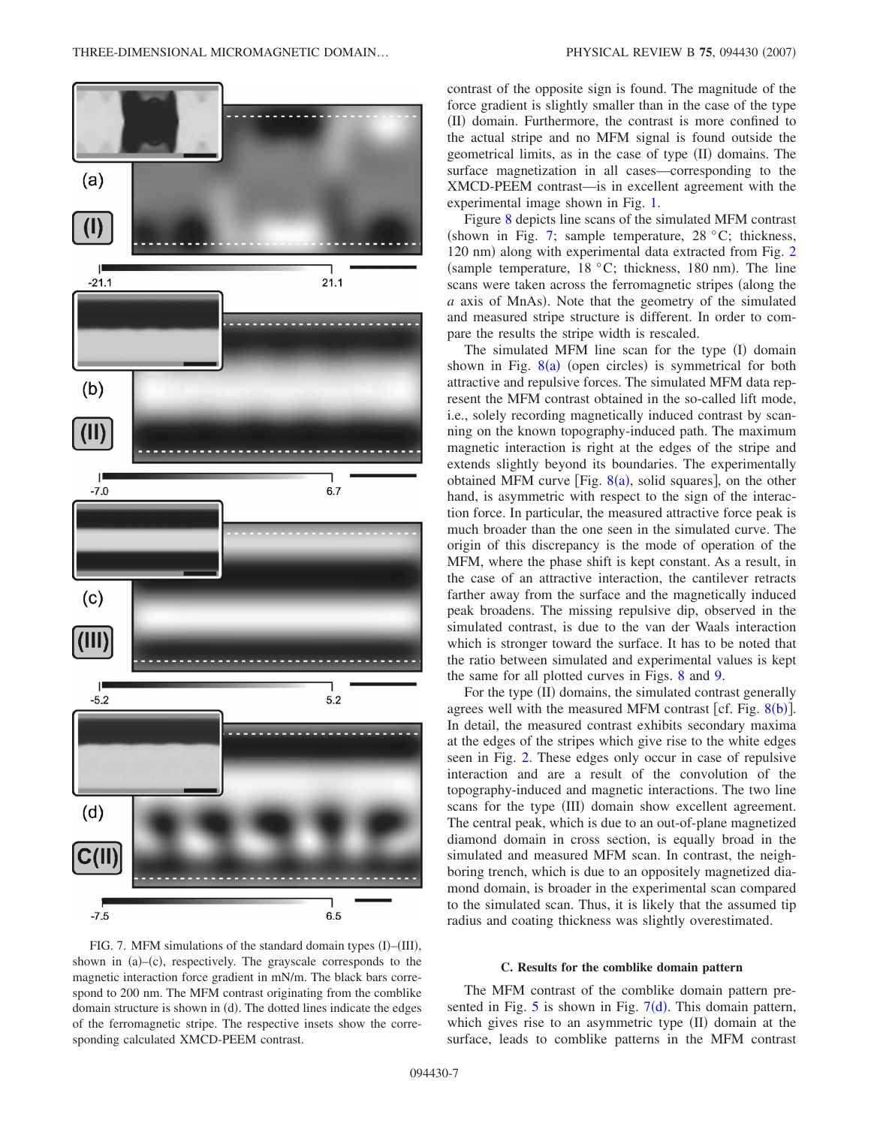<span id="page-6-0"></span>



contrast of the opposite sign is found. The magnitude of the force gradient is slightly smaller than in the case of the type (II) domain. Furthermore, the contrast is more confined to the actual stripe and no MFM signal is found outside the geometrical limits, as in the case of type (II) domains. The surface magnetization in all cases—corresponding to the XMCD-PEEM contrast—is in excellent agreement with the experimental image shown in Fig. [1.](#page-1-0)

Figure [8](#page-7-0) depicts line scans of the simulated MFM contrast (shown in Fig. [7;](#page-6-0) sample temperature,  $28 \degree C$ ; thickness, 1[2](#page-2-1)0 nm) along with experimental data extracted from Fig. 2 (sample temperature,  $18 \degree C$ ; thickness,  $180 \text{ nm}$ ). The line scans were taken across the ferromagnetic stripes (along the a axis of MnAs). Note that the geometry of the simulated and measured stripe structure is different. In order to compare the results the stripe width is rescaled.

The simulated MFM line scan for the type (I) domain shown in Fig.  $8(a)$  $8(a)$  (open circles) is symmetrical for both attractive and repulsive forces. The simulated MFM data represent the MFM contrast obtained in the so-called lift mode, i.e., solely recording magnetically induced contrast by scanning on the known topography-induced path. The maximum magnetic interaction is right at the edges of the stripe and extends slightly beyond its boundaries. The experimentally obtained MFM curve [Fig.  $8(a)$  $8(a)$ , solid squares], on the other hand, is asymmetric with respect to the sign of the interaction force. In particular, the measured attractive force peak is much broader than the one seen in the simulated curve. The origin of this discrepancy is the mode of operation of the MFM, where the phase shift is kept constant. As a result, in the case of an attractive interaction, the cantilever retracts farther away from the surface and the magnetically induced peak broadens. The missing repulsive dip, observed in the simulated contrast, is due to the van der Waals interaction which is stronger toward the surface. It has to be noted that the ratio between simulated and experimental values is kept the same for all plotted curves in Figs. [8](#page-7-0) and [9.](#page-7-1)

For the type (II) domains, the simulated contrast generally agrees well with the measured MFM contrast [cf. Fig.  $8(b)$  $8(b)$ ]. In detail, the measured contrast exhibits secondary maxima at the edges of the stripes which give rise to the white edges seen in Fig. [2.](#page-2-1) These edges only occur in case of repulsive interaction and are a result of the convolution of the topography-induced and magnetic interactions. The two line scans for the type (III) domain show excellent agreement. The central peak, which is due to an out-of-plane magnetized diamond domain in cross section, is equally broad in the simulated and measured MFM scan. In contrast, the neighboring trench, which is due to an oppositely magnetized diamond domain, is broader in the experimental scan compared to the simulated scan. Thus, it is likely that the assumed tip radius and coating thickness was slightly overestimated.

#### **C. Results for the comblike domain pattern**

The MFM contrast of the comblike domain pattern presented in Fig.  $5$  is shown in Fig.  $7(d)$  $7(d)$ . This domain pattern, which gives rise to an asymmetric type (II) domain at the surface, leads to comblike patterns in the MFM contrast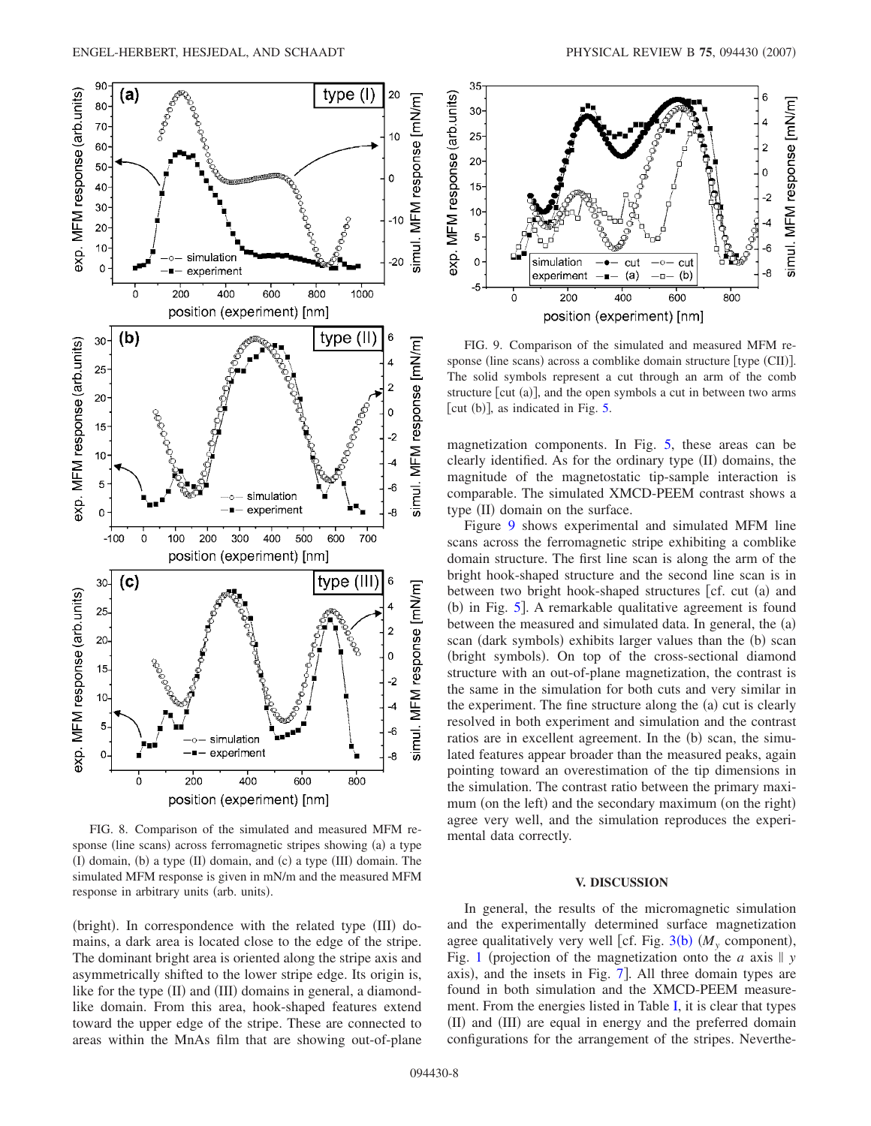<span id="page-7-0"></span>

FIG. 8. Comparison of the simulated and measured MFM response (line scans) across ferromagnetic stripes showing (a) a type (I) domain, (b) a type (II) domain, and (c) a type (III) domain. The simulated MFM response is given in mN/m and the measured MFM response in arbitrary units (arb. units).

(bright). In correspondence with the related type (III) domains, a dark area is located close to the edge of the stripe. The dominant bright area is oriented along the stripe axis and asymmetrically shifted to the lower stripe edge. Its origin is, like for the type (II) and (III) domains in general, a diamondlike domain. From this area, hook-shaped features extend toward the upper edge of the stripe. These are connected to areas within the MnAs film that are showing out-of-plane

<span id="page-7-1"></span>

FIG. 9. Comparison of the simulated and measured MFM response (line scans) across a comblike domain structure [type (CII)]. The solid symbols represent a cut through an arm of the comb structure [cut (a)], and the open symbols a cut in between two arms [cut  $(b)$ ], as indicated in Fig. [5.](#page-4-2)

magnetization components. In Fig. [5,](#page-4-2) these areas can be clearly identified. As for the ordinary type (II) domains, the magnitude of the magnetostatic tip-sample interaction is comparable. The simulated XMCD-PEEM contrast shows a type (II) domain on the surface.

Figure [9](#page-7-1) shows experimental and simulated MFM line scans across the ferromagnetic stripe exhibiting a comblike domain structure. The first line scan is along the arm of the bright hook-shaped structure and the second line scan is in between two bright hook-shaped structures [cf. cut (a) and (b) in Fig. [5](#page-4-2)]. A remarkable qualitative agreement is found between the measured and simulated data. In general, the (a) scan (dark symbols) exhibits larger values than the (b) scan (bright symbols). On top of the cross-sectional diamond structure with an out-of-plane magnetization, the contrast is the same in the simulation for both cuts and very similar in the experiment. The fine structure along the (a) cut is clearly resolved in both experiment and simulation and the contrast ratios are in excellent agreement. In the (b) scan, the simulated features appear broader than the measured peaks, again pointing toward an overestimation of the tip dimensions in the simulation. The contrast ratio between the primary maximum (on the left) and the secondary maximum (on the right) agree very well, and the simulation reproduces the experimental data correctly.

#### **V. DISCUSSION**

In general, the results of the micromagnetic simulation and the experimentally determined surface magnetization agree qualitatively very well [cf. Fig.  $3(b)$  $3(b)$   $(M_y$  component), Fig. [1](#page-1-0) (projection of the magnetization onto the *a* axis  $\parallel y$ axis), and the insets in Fig. [7](#page-6-0)]. All three domain types are found in both simulation and the XMCD-PEEM measurement. From the energies listed in Table [I,](#page-4-1) it is clear that types (II) and (III) are equal in energy and the preferred domain configurations for the arrangement of the stripes. Neverthe-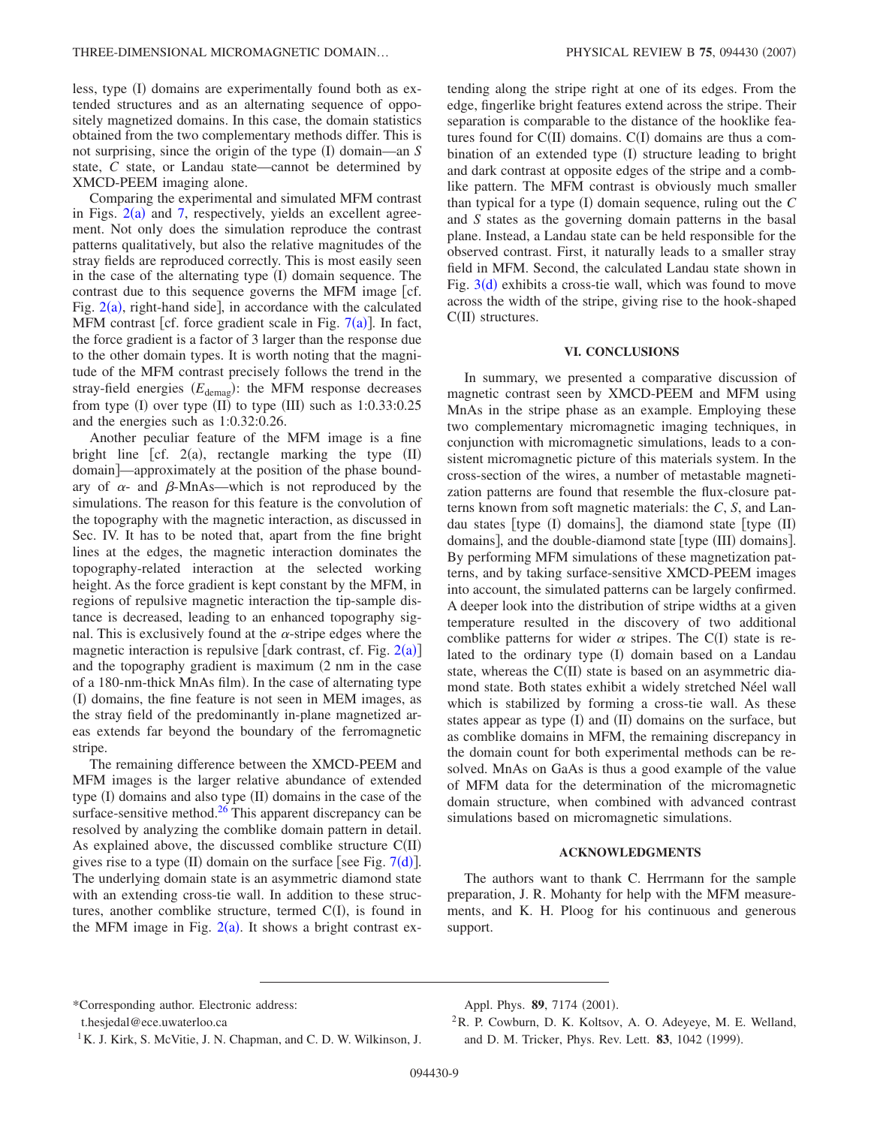less, type (I) domains are experimentally found both as extended structures and as an alternating sequence of oppositely magnetized domains. In this case, the domain statistics obtained from the two complementary methods differ. This is not surprising, since the origin of the type (I) domain—an *S* state, *C* state, or Landau state—cannot be determined by XMCD-PEEM imaging alone.

Comparing the experimental and simulated MFM contrast in Figs.  $2(a)$  $2(a)$  and [7,](#page-6-0) respectively, yields an excellent agreement. Not only does the simulation reproduce the contrast patterns qualitatively, but also the relative magnitudes of the stray fields are reproduced correctly. This is most easily seen in the case of the alternating type (I) domain sequence. The contrast due to this sequence governs the MFM image  $\lceil cf \rceil$ . Fig.  $2(a)$  $2(a)$ , right-hand side], in accordance with the calculated MFM contrast [cf. force gradient scale in Fig.  $7(a)$  $7(a)$ ]. In fact, the force gradient is a factor of 3 larger than the response due to the other domain types. It is worth noting that the magnitude of the MFM contrast precisely follows the trend in the stray-field energies ( $E_{\text{demag}}$ ): the MFM response decreases from type  $(I)$  over type  $(II)$  to type  $(III)$  such as  $1:0.33:0.25$ and the energies such as 1:0.32:0.26.

Another peculiar feature of the MFM image is a fine bright line [cf.  $2(a)$ , rectangle marking the type  $(II)$ domain—approximately at the position of the phase boundary of  $\alpha$ - and  $\beta$ -MnAs—which is not reproduced by the simulations. The reason for this feature is the convolution of the topography with the magnetic interaction, as discussed in Sec. IV. It has to be noted that, apart from the fine bright lines at the edges, the magnetic interaction dominates the topography-related interaction at the selected working height. As the force gradient is kept constant by the MFM, in regions of repulsive magnetic interaction the tip-sample distance is decreased, leading to an enhanced topography signal. This is exclusively found at the  $\alpha$ -stripe edges where the magnetic interaction is repulsive [dark contrast, cf. Fig.  $2(a)$  $2(a)$ ] and the topography gradient is maximum (2 nm in the case of a 180-nm-thick MnAs film). In the case of alternating type (I) domains, the fine feature is not seen in MEM images, as the stray field of the predominantly in-plane magnetized areas extends far beyond the boundary of the ferromagnetic stripe.

The remaining difference between the XMCD-PEEM and MFM images is the larger relative abundance of extended type (I) domains and also type (II) domains in the case of the surface-sensitive method. $26$  This apparent discrepancy can be resolved by analyzing the comblike domain pattern in detail. As explained above, the discussed comblike structure  $C(II)$ gives rise to a type  $(II)$  domain on the surface [see Fig. [7](#page-6-0)(d)]. The underlying domain state is an asymmetric diamond state with an extending cross-tie wall. In addition to these structures, another comblike structure, termed C(I), is found in the MFM image in Fig.  $2(a)$  $2(a)$ . It shows a bright contrast extending along the stripe right at one of its edges. From the edge, fingerlike bright features extend across the stripe. Their separation is comparable to the distance of the hooklike features found for  $C(II)$  domains.  $C(I)$  domains are thus a combination of an extended type (I) structure leading to bright and dark contrast at opposite edges of the stripe and a comblike pattern. The MFM contrast is obviously much smaller than typical for a type (I) domain sequence, ruling out the *C* and *S* states as the governing domain patterns in the basal plane. Instead, a Landau state can be held responsible for the observed contrast. First, it naturally leads to a smaller stray field in MFM. Second, the calculated Landau state shown in Fig.  $3(d)$  $3(d)$  exhibits a cross-tie wall, which was found to move across the width of the stripe, giving rise to the hook-shaped C(II) structures.

#### **VI. CONCLUSIONS**

In summary, we presented a comparative discussion of magnetic contrast seen by XMCD-PEEM and MFM using MnAs in the stripe phase as an example. Employing these two complementary micromagnetic imaging techniques, in conjunction with micromagnetic simulations, leads to a consistent micromagnetic picture of this materials system. In the cross-section of the wires, a number of metastable magnetization patterns are found that resemble the flux-closure patterns known from soft magnetic materials: the *C*, *S*, and Landau states [type (I) domains], the diamond state [type (II) domains], and the double-diamond state [type (III) domains]. By performing MFM simulations of these magnetization patterns, and by taking surface-sensitive XMCD-PEEM images into account, the simulated patterns can be largely confirmed. A deeper look into the distribution of stripe widths at a given temperature resulted in the discovery of two additional comblike patterns for wider  $\alpha$  stripes. The C(I) state is related to the ordinary type (I) domain based on a Landau state, whereas the C(II) state is based on an asymmetric diamond state. Both states exhibit a widely stretched Néel wall which is stabilized by forming a cross-tie wall. As these states appear as type (I) and (II) domains on the surface, but as comblike domains in MFM, the remaining discrepancy in the domain count for both experimental methods can be resolved. MnAs on GaAs is thus a good example of the value of MFM data for the determination of the micromagnetic domain structure, when combined with advanced contrast simulations based on micromagnetic simulations.

#### **ACKNOWLEDGMENTS**

The authors want to thank C. Herrmann for the sample preparation, J. R. Mohanty for help with the MFM measurements, and K. H. Ploog for his continuous and generous support.

t.hesjedal@ece.uwaterloo.ca

Appl. Phys. 89, 7174 (2001).

<span id="page-8-2"></span>2R. P. Cowburn, D. K. Koltsov, A. O. Adeyeye, M. E. Welland, and D. M. Tricker, Phys. Rev. Lett. **83**, 1042 (1999).

<span id="page-8-0"></span><sup>\*</sup>Corresponding author. Electronic address:

<span id="page-8-1"></span><sup>&</sup>lt;sup>1</sup>K. J. Kirk, S. McVitie, J. N. Chapman, and C. D. W. Wilkinson, J.